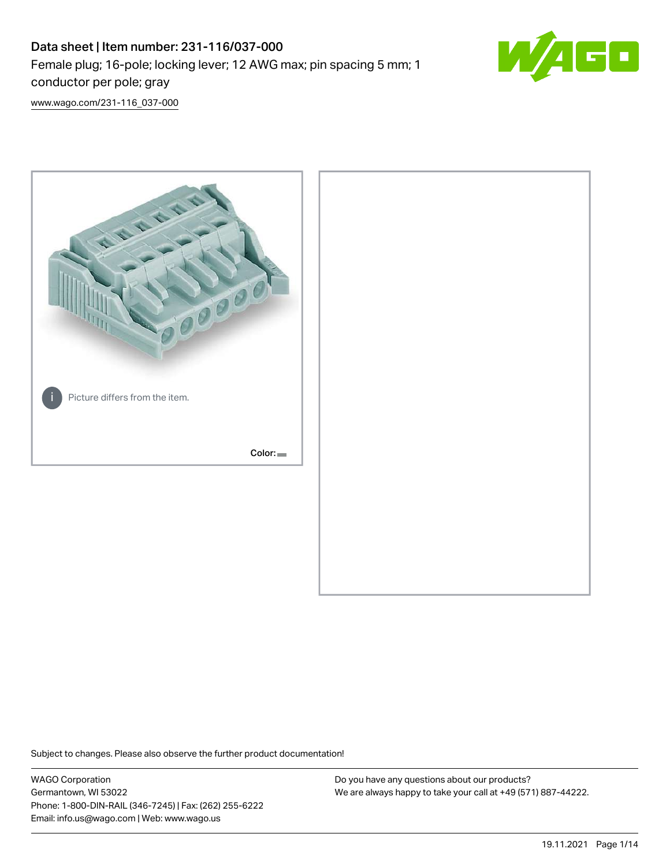## Data sheet | Item number: 231-116/037-000 Female plug; 16-pole; locking lever; 12 AWG max; pin spacing 5 mm; 1 conductor per pole; gray



[www.wago.com/231-116\\_037-000](http://www.wago.com/231-116_037-000)



Subject to changes. Please also observe the further product documentation!

WAGO Corporation Germantown, WI 53022 Phone: 1-800-DIN-RAIL (346-7245) | Fax: (262) 255-6222 Email: info.us@wago.com | Web: www.wago.us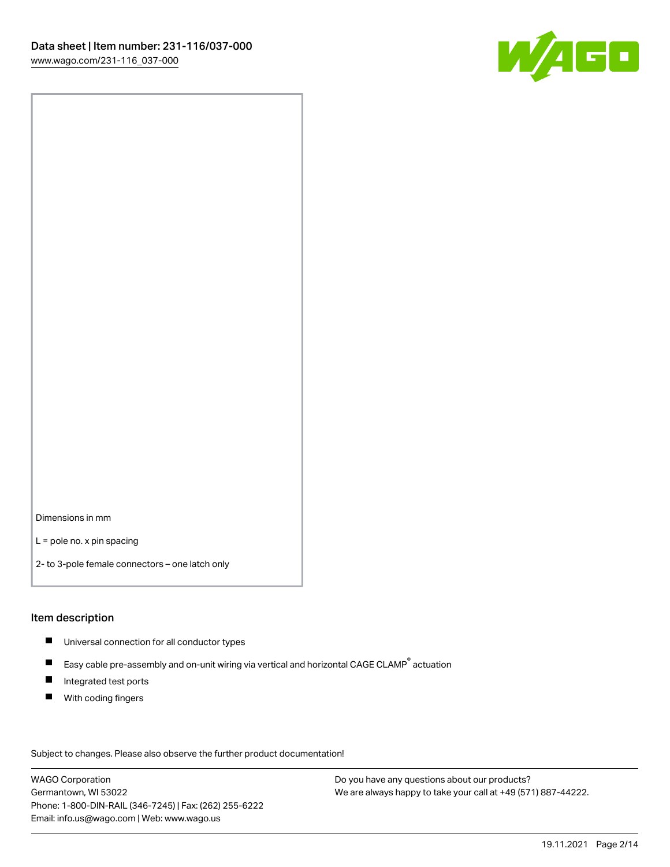

Dimensions in mm

L = pole no. x pin spacing

2- to 3-pole female connectors – one latch only

#### Item description

- **Universal connection for all conductor types**
- Easy cable pre-assembly and on-unit wiring via vertical and horizontal CAGE CLAMP<sup>®</sup> actuation  $\blacksquare$
- $\blacksquare$ Integrated test ports
- $\blacksquare$ With coding fingers

Subject to changes. Please also observe the further product documentation! Data

WAGO Corporation Germantown, WI 53022 Phone: 1-800-DIN-RAIL (346-7245) | Fax: (262) 255-6222 Email: info.us@wago.com | Web: www.wago.us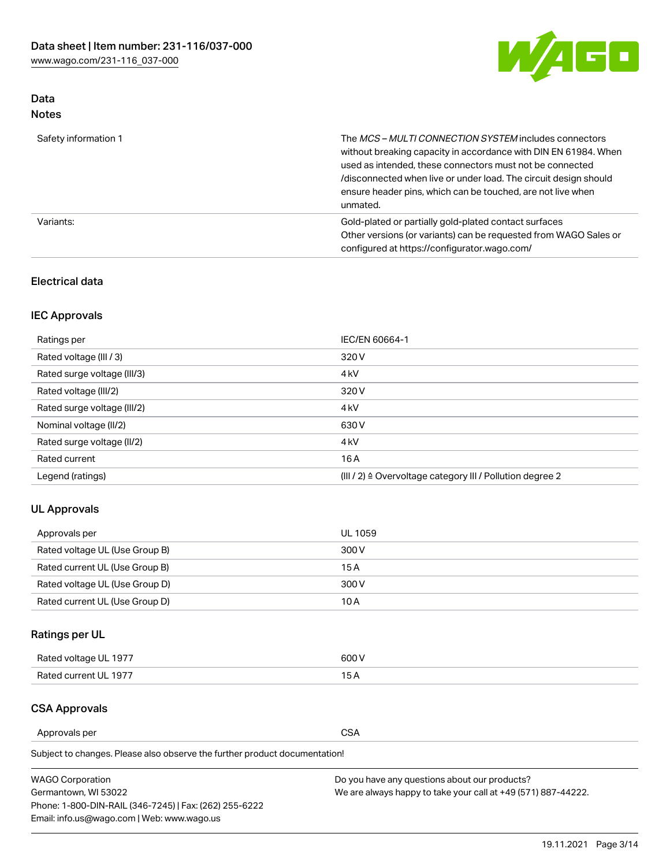

## Data Notes

| Safety information 1 | The MCS-MULTI CONNECTION SYSTEM includes connectors<br>without breaking capacity in accordance with DIN EN 61984. When<br>used as intended, these connectors must not be connected<br>/disconnected when live or under load. The circuit design should<br>ensure header pins, which can be touched, are not live when<br>unmated. |
|----------------------|-----------------------------------------------------------------------------------------------------------------------------------------------------------------------------------------------------------------------------------------------------------------------------------------------------------------------------------|
| Variants:            | Gold-plated or partially gold-plated contact surfaces<br>Other versions (or variants) can be requested from WAGO Sales or<br>configured at https://configurator.wago.com/                                                                                                                                                         |

#### Electrical data

## IEC Approvals

| Ratings per                 | IEC/EN 60664-1                                                        |
|-----------------------------|-----------------------------------------------------------------------|
| Rated voltage (III / 3)     | 320 V                                                                 |
| Rated surge voltage (III/3) | 4 <sub>k</sub> V                                                      |
| Rated voltage (III/2)       | 320 V                                                                 |
| Rated surge voltage (III/2) | 4 <sub>k</sub> V                                                      |
| Nominal voltage (II/2)      | 630 V                                                                 |
| Rated surge voltage (II/2)  | 4 <sub>k</sub> V                                                      |
| Rated current               | 16 A                                                                  |
| Legend (ratings)            | $(III / 2)$ $\triangle$ Overvoltage category III / Pollution degree 2 |

## UL Approvals

| Approvals per                  | UL 1059 |
|--------------------------------|---------|
| Rated voltage UL (Use Group B) | 300 V   |
| Rated current UL (Use Group B) | 15 A    |
| Rated voltage UL (Use Group D) | 300 V   |
| Rated current UL (Use Group D) | 10 A    |

## Ratings per UL

| Rated voltage UL 1977 | 300 V |
|-----------------------|-------|
| Rated current UL 1977 |       |

#### CSA Approvals

Approvals per CSA

Subject to changes. Please also observe the further product documentation!

| <b>WAGO Corporation</b>                                | Do you have any questions about our products?                 |
|--------------------------------------------------------|---------------------------------------------------------------|
| Germantown, WI 53022                                   | We are always happy to take your call at +49 (571) 887-44222. |
| Phone: 1-800-DIN-RAIL (346-7245)   Fax: (262) 255-6222 |                                                               |
| Email: info.us@wago.com   Web: www.wago.us             |                                                               |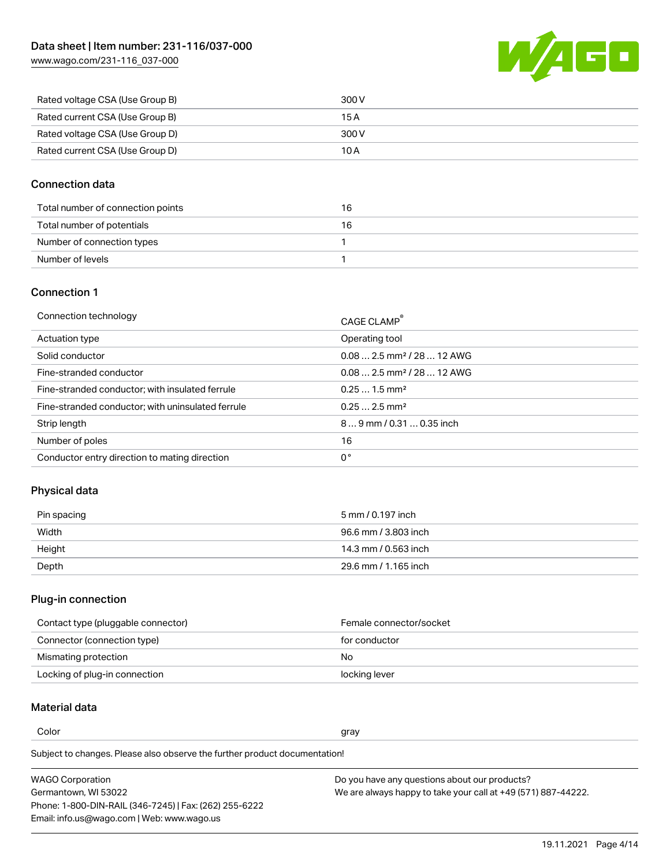[www.wago.com/231-116\\_037-000](http://www.wago.com/231-116_037-000)



| Rated voltage CSA (Use Group B) | 300 V |
|---------------------------------|-------|
| Rated current CSA (Use Group B) | 15 A  |
| Rated voltage CSA (Use Group D) | 300 V |
| Rated current CSA (Use Group D) | 10 A  |

#### Connection data

| Total number of connection points | 16 |
|-----------------------------------|----|
| Total number of potentials        | 16 |
| Number of connection types        |    |
| Number of levels                  |    |

#### Connection 1

| Connection technology                             | CAGE CLAMP®                             |
|---------------------------------------------------|-----------------------------------------|
| Actuation type                                    | Operating tool                          |
| Solid conductor                                   | $0.08$ 2.5 mm <sup>2</sup> / 28  12 AWG |
| Fine-stranded conductor                           | $0.082.5$ mm <sup>2</sup> / 28  12 AWG  |
| Fine-stranded conductor; with insulated ferrule   | $0.251.5$ mm <sup>2</sup>               |
| Fine-stranded conductor; with uninsulated ferrule | $0.252.5$ mm <sup>2</sup>               |
| Strip length                                      | $89$ mm / 0.31  0.35 inch               |
| Number of poles                                   | 16                                      |
| Conductor entry direction to mating direction     | 0°                                      |
|                                                   |                                         |

## Physical data

| Pin spacing | 5 mm / 0.197 inch    |
|-------------|----------------------|
| Width       | 96.6 mm / 3.803 inch |
| Height      | 14.3 mm / 0.563 inch |
| Depth       | 29.6 mm / 1.165 inch |

#### Plug-in connection

| Contact type (pluggable connector) | Female connector/socket |
|------------------------------------|-------------------------|
| Connector (connection type)        | for conductor           |
| Mismating protection               | No.                     |
| Locking of plug-in connection      | locking lever           |

## Material data

Color and the color of the color of the color of the color of the color of the color of the color of the color

Subject to changes. Please also observe the further product documentation! Material group I

| <b>WAGO Corporation</b>                                | Do you have any questions about our products?                 |
|--------------------------------------------------------|---------------------------------------------------------------|
| Germantown, WI 53022                                   | We are always happy to take your call at +49 (571) 887-44222. |
| Phone: 1-800-DIN-RAIL (346-7245)   Fax: (262) 255-6222 |                                                               |
| Email: info.us@wago.com   Web: www.wago.us             |                                                               |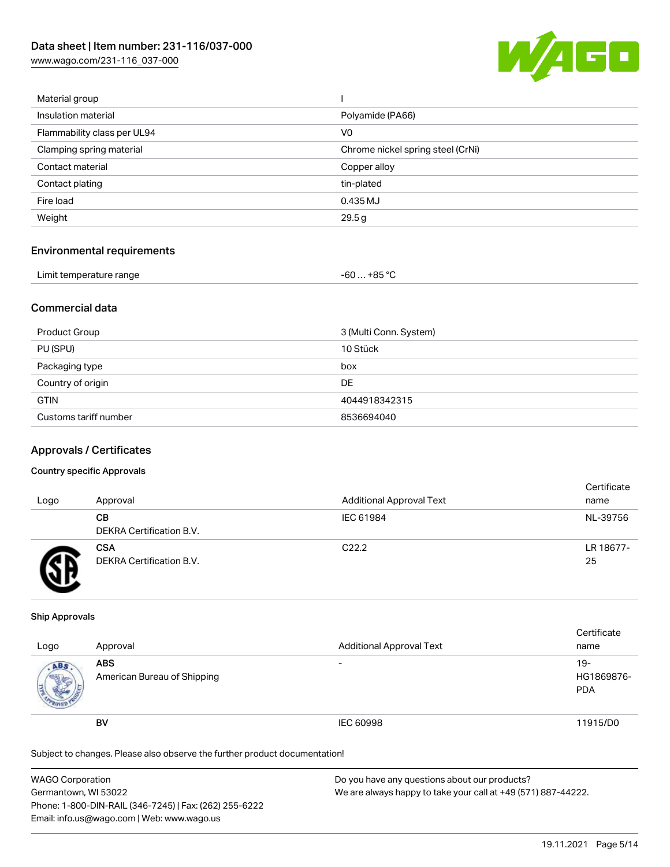[www.wago.com/231-116\\_037-000](http://www.wago.com/231-116_037-000)



| Material group              |                                   |
|-----------------------------|-----------------------------------|
| Insulation material         | Polyamide (PA66)                  |
| Flammability class per UL94 | V <sub>0</sub>                    |
| Clamping spring material    | Chrome nickel spring steel (CrNi) |
| Contact material            | Copper alloy                      |
| Contact plating             | tin-plated                        |
| Fire load                   | 0.435 MJ                          |
| Weight                      | 29.5g                             |
|                             |                                   |

#### Environmental requirements

| Limit temperature range | $-60+85 °C$ |  |
|-------------------------|-------------|--|
|-------------------------|-------------|--|

### Commercial data

| Product Group         | 3 (Multi Conn. System) |
|-----------------------|------------------------|
| PU (SPU)              | 10 Stück               |
| Packaging type        | box                    |
| Country of origin     | DE                     |
| <b>GTIN</b>           | 4044918342315          |
| Customs tariff number | 8536694040             |

#### Approvals / Certificates

#### Country specific Approvals

| Logo | Approval                               | <b>Additional Approval Text</b> | Certificate<br>name |
|------|----------------------------------------|---------------------------------|---------------------|
|      | CВ<br>DEKRA Certification B.V.         | IEC 61984                       | NL-39756            |
|      | <b>CSA</b><br>DEKRA Certification B.V. | C <sub>22.2</sub>               | LR 18677-<br>25     |

#### Ship Approvals

| Logo | Approval                                  | <b>Additional Approval Text</b> | Certificate<br>name                |
|------|-------------------------------------------|---------------------------------|------------------------------------|
| ABS  | <b>ABS</b><br>American Bureau of Shipping | $\overline{\phantom{0}}$        | $19 -$<br>HG1869876-<br><b>PDA</b> |
|      | <b>BV</b>                                 | IEC 60998                       | 11915/D0                           |

Subject to changes. Please also observe the further product documentation!

| WAGO Corporation                                       | Do you have any questions about our products?                 |
|--------------------------------------------------------|---------------------------------------------------------------|
| Germantown, WI 53022                                   | We are always happy to take your call at +49 (571) 887-44222. |
| Phone: 1-800-DIN-RAIL (346-7245)   Fax: (262) 255-6222 |                                                               |
| Email: info.us@wago.com   Web: www.wago.us             |                                                               |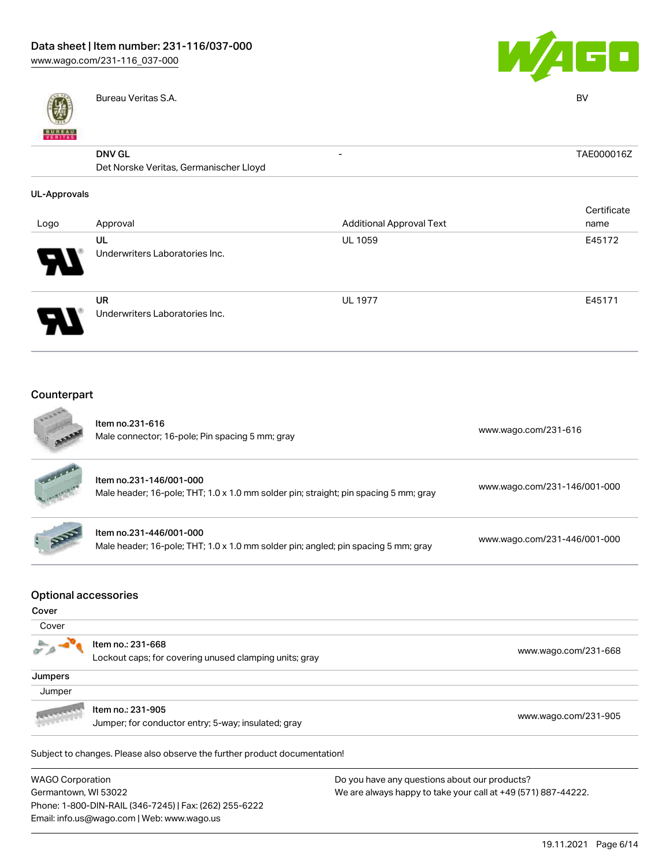

Bureau Veritas S.A. BV



| <b>BUNEAU</b><br>VERITAS |                                        |                                 | - -         |
|--------------------------|----------------------------------------|---------------------------------|-------------|
|                          | <b>DNV GL</b>                          | $\overline{\phantom{a}}$        | TAE000016Z  |
|                          | Det Norske Veritas, Germanischer Lloyd |                                 |             |
| <b>UL-Approvals</b>      |                                        |                                 |             |
|                          |                                        |                                 | Certificate |
| Logo                     | Approval                               | <b>Additional Approval Text</b> | name        |
|                          | UL                                     | <b>UL 1059</b>                  | E45172      |
|                          | Underwriters Laboratories Inc.         |                                 |             |
|                          | <b>UR</b>                              | <b>UL 1977</b>                  | E45171      |
|                          | Underwriters Laboratories Inc.         |                                 |             |
|                          |                                        |                                 |             |

#### Counterpart  $\sim$

Email: info.us@wago.com | Web: www.wago.us

|                                                 | Item no.231-616<br>Male connector; 16-pole; Pin spacing 5 mm; gray                                              | www.wago.com/231-616                                                                                           |
|-------------------------------------------------|-----------------------------------------------------------------------------------------------------------------|----------------------------------------------------------------------------------------------------------------|
|                                                 | Item no.231-146/001-000<br>Male header; 16-pole; THT; 1.0 x 1.0 mm solder pin; straight; pin spacing 5 mm; gray | www.wago.com/231-146/001-000                                                                                   |
|                                                 | Item no.231-446/001-000<br>Male header; 16-pole; THT; 1.0 x 1.0 mm solder pin; angled; pin spacing 5 mm; gray   | www.wago.com/231-446/001-000                                                                                   |
| <b>Optional accessories</b><br>Cover            |                                                                                                                 |                                                                                                                |
| Cover                                           |                                                                                                                 |                                                                                                                |
|                                                 | Item no.: 231-668<br>Lockout caps; for covering unused clamping units; gray                                     | www.wago.com/231-668                                                                                           |
| Jumpers                                         |                                                                                                                 |                                                                                                                |
| Jumper                                          |                                                                                                                 |                                                                                                                |
|                                                 | Item no.: 231-905<br>Jumper; for conductor entry; 5-way; insulated; gray                                        | www.wago.com/231-905                                                                                           |
|                                                 | Subject to changes. Please also observe the further product documentation!                                      |                                                                                                                |
| <b>WAGO Corporation</b><br>Germantown, WI 53022 | Phone: 1-800-DIN-RAIL (346-7245)   Fax: (262) 255-6222                                                          | Do you have any questions about our products?<br>We are always happy to take your call at +49 (571) 887-44222. |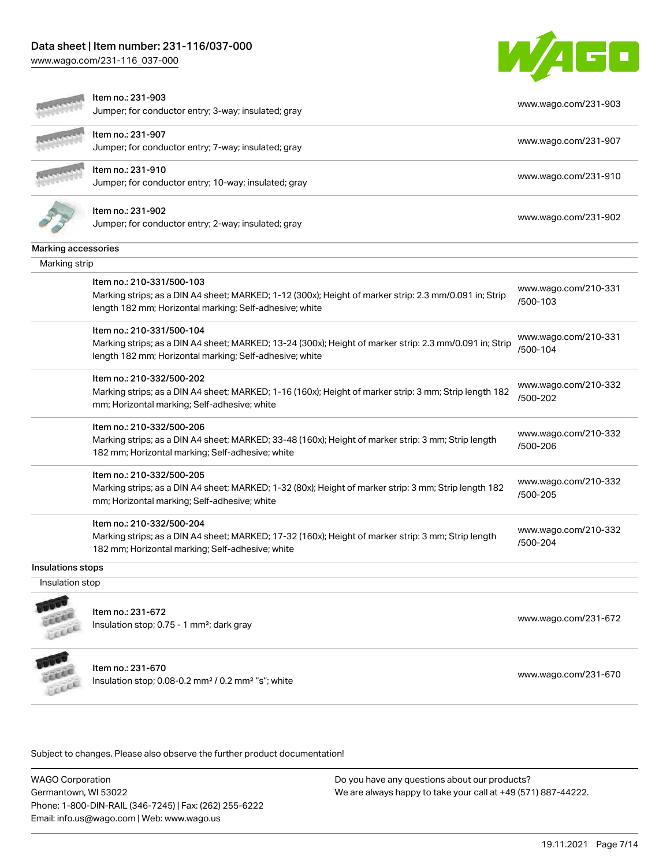[www.wago.com/231-116\\_037-000](http://www.wago.com/231-116_037-000)



|                     | Item no.: 231-903<br>Jumper; for conductor entry; 3-way; insulated; gray                                                                                                                        | www.wago.com/231-903             |
|---------------------|-------------------------------------------------------------------------------------------------------------------------------------------------------------------------------------------------|----------------------------------|
|                     | Item no.: 231-907<br>Jumper; for conductor entry; 7-way; insulated; gray                                                                                                                        | www.wago.com/231-907             |
|                     | Item no.: 231-910<br>Jumper; for conductor entry; 10-way; insulated; gray                                                                                                                       | www.wago.com/231-910             |
|                     | Item no.: 231-902<br>Jumper; for conductor entry; 2-way; insulated; gray                                                                                                                        | www.wago.com/231-902             |
| Marking accessories |                                                                                                                                                                                                 |                                  |
| Marking strip       |                                                                                                                                                                                                 |                                  |
|                     | Item no.: 210-331/500-103<br>Marking strips; as a DIN A4 sheet; MARKED; 1-12 (300x); Height of marker strip: 2.3 mm/0.091 in; Strip<br>length 182 mm; Horizontal marking; Self-adhesive; white  | www.wago.com/210-331<br>/500-103 |
|                     | Item no.: 210-331/500-104<br>Marking strips; as a DIN A4 sheet; MARKED; 13-24 (300x); Height of marker strip: 2.3 mm/0.091 in; Strip<br>length 182 mm; Horizontal marking; Self-adhesive; white | www.wago.com/210-331<br>/500-104 |
|                     | Item no.: 210-332/500-202<br>Marking strips; as a DIN A4 sheet; MARKED; 1-16 (160x); Height of marker strip: 3 mm; Strip length 182<br>mm; Horizontal marking; Self-adhesive; white             | www.wago.com/210-332<br>/500-202 |
|                     | Item no.: 210-332/500-206<br>Marking strips; as a DIN A4 sheet; MARKED; 33-48 (160x); Height of marker strip: 3 mm; Strip length<br>182 mm; Horizontal marking; Self-adhesive; white            | www.wago.com/210-332<br>/500-206 |
|                     | Item no.: 210-332/500-205<br>Marking strips; as a DIN A4 sheet; MARKED; 1-32 (80x); Height of marker strip: 3 mm; Strip length 182<br>mm; Horizontal marking; Self-adhesive; white              | www.wago.com/210-332<br>/500-205 |
|                     | Item no.: 210-332/500-204<br>Marking strips; as a DIN A4 sheet; MARKED; 17-32 (160x); Height of marker strip: 3 mm; Strip length<br>182 mm; Horizontal marking; Self-adhesive; white            | www.wago.com/210-332<br>/500-204 |
| Insulations stops   |                                                                                                                                                                                                 |                                  |
| Insulation stop     |                                                                                                                                                                                                 |                                  |
|                     | Item no.: 231-672<br>Insulation stop; 0.75 - 1 mm <sup>2</sup> ; dark gray                                                                                                                      | www.wago.com/231-672             |
|                     | Item no.: 231-670<br>Insulation stop; 0.08-0.2 mm <sup>2</sup> / 0.2 mm <sup>2</sup> "s"; white                                                                                                 | www.wago.com/231-670             |

Subject to changes. Please also observe the further product documentation!

WAGO Corporation Germantown, WI 53022 Phone: 1-800-DIN-RAIL (346-7245) | Fax: (262) 255-6222 Email: info.us@wago.com | Web: www.wago.us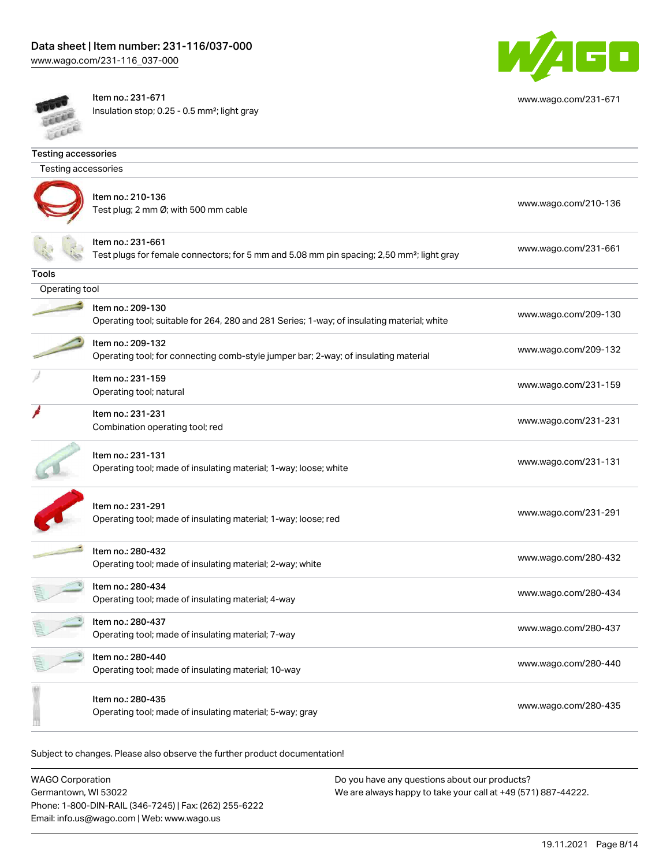[www.wago.com/231-116\\_037-000](http://www.wago.com/231-116_037-000)



[www.wago.com/231-671](http://www.wago.com/231-671)

**COLLEGE** Cecce Item no.: 231-671 Insulation stop; 0.25 - 0.5 mm²; light gray

| <b>Testing accessories</b> |                                                                                                                            |                      |  |
|----------------------------|----------------------------------------------------------------------------------------------------------------------------|----------------------|--|
| Testing accessories        |                                                                                                                            |                      |  |
|                            | Item no.: 210-136<br>Test plug; 2 mm Ø; with 500 mm cable                                                                  | www.wago.com/210-136 |  |
|                            | Item no.: 231-661<br>Test plugs for female connectors; for 5 mm and 5.08 mm pin spacing; 2,50 mm <sup>2</sup> ; light gray | www.wago.com/231-661 |  |
| Tools                      |                                                                                                                            |                      |  |
| Operating tool             |                                                                                                                            |                      |  |
|                            | Item no.: 209-130<br>Operating tool; suitable for 264, 280 and 281 Series; 1-way; of insulating material; white            | www.wago.com/209-130 |  |
|                            | Item no.: 209-132<br>Operating tool; for connecting comb-style jumper bar; 2-way; of insulating material                   | www.wago.com/209-132 |  |
|                            | Item no.: 231-159<br>Operating tool; natural                                                                               | www.wago.com/231-159 |  |
|                            | Item no.: 231-231<br>Combination operating tool; red                                                                       | www.wago.com/231-231 |  |
|                            | Item no.: 231-131<br>Operating tool; made of insulating material; 1-way; loose; white                                      | www.wago.com/231-131 |  |
|                            | Item no.: 231-291<br>Operating tool; made of insulating material; 1-way; loose; red                                        | www.wago.com/231-291 |  |
|                            | Item no.: 280-432<br>Operating tool; made of insulating material; 2-way; white                                             | www.wago.com/280-432 |  |
|                            | Item no.: 280-434<br>Operating tool; made of insulating material; 4-way                                                    | www.wago.com/280-434 |  |
|                            | Item no.: 280-437<br>Operating tool; made of insulating material; 7-way                                                    | www.wago.com/280-437 |  |
|                            | Item no.: 280-440<br>Operating tool; made of insulating material; 10-way                                                   | www.wago.com/280-440 |  |
|                            | Item no.: 280-435<br>Operating tool; made of insulating material; 5-way; gray                                              | www.wago.com/280-435 |  |

Subject to changes. Please also observe the further product documentation!

WAGO Corporation Germantown, WI 53022 Phone: 1-800-DIN-RAIL (346-7245) | Fax: (262) 255-6222 Email: info.us@wago.com | Web: www.wago.us Do you have any questions about our products? We are always happy to take your call at +49 (571) 887-44222.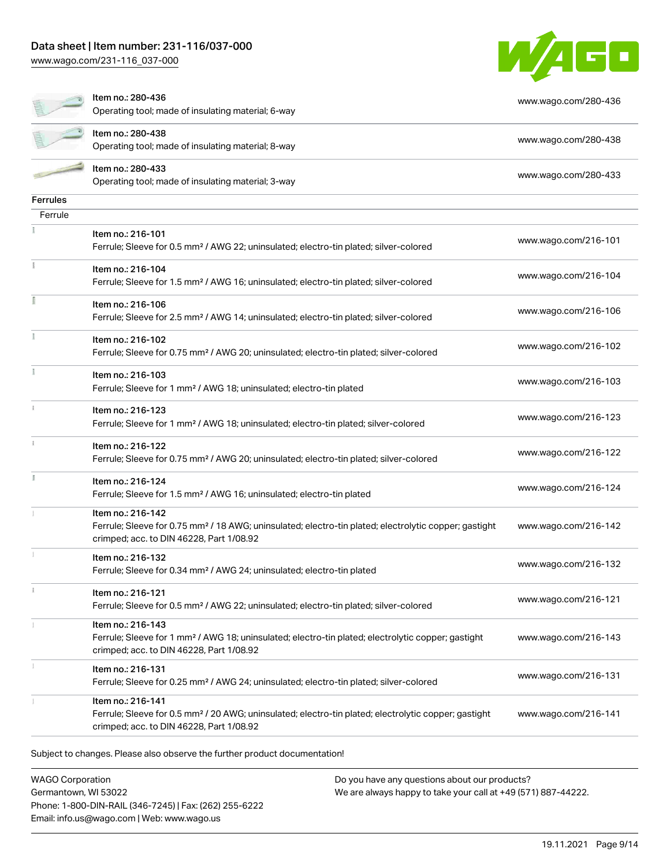[www.wago.com/231-116\\_037-000](http://www.wago.com/231-116_037-000)



|                 | Item no.: 280-436<br>Operating tool; made of insulating material; 6-way                                                                                                            | www.wago.com/280-436 |
|-----------------|------------------------------------------------------------------------------------------------------------------------------------------------------------------------------------|----------------------|
|                 | Item no.: 280-438<br>Operating tool; made of insulating material; 8-way                                                                                                            | www.wago.com/280-438 |
|                 | Item no.: 280-433<br>Operating tool; made of insulating material; 3-way                                                                                                            | www.wago.com/280-433 |
| <b>Ferrules</b> |                                                                                                                                                                                    |                      |
| Ferrule         |                                                                                                                                                                                    |                      |
|                 | Item no.: 216-101<br>Ferrule; Sleeve for 0.5 mm <sup>2</sup> / AWG 22; uninsulated; electro-tin plated; silver-colored                                                             | www.wago.com/216-101 |
|                 | Item no.: 216-104<br>Ferrule; Sleeve for 1.5 mm <sup>2</sup> / AWG 16; uninsulated; electro-tin plated; silver-colored                                                             | www.wago.com/216-104 |
|                 | Item no.: 216-106<br>Ferrule; Sleeve for 2.5 mm <sup>2</sup> / AWG 14; uninsulated; electro-tin plated; silver-colored                                                             | www.wago.com/216-106 |
|                 | Item no.: 216-102<br>Ferrule; Sleeve for 0.75 mm <sup>2</sup> / AWG 20; uninsulated; electro-tin plated; silver-colored                                                            | www.wago.com/216-102 |
|                 | Item no.: 216-103<br>Ferrule; Sleeve for 1 mm <sup>2</sup> / AWG 18; uninsulated; electro-tin plated                                                                               | www.wago.com/216-103 |
|                 | Item no.: 216-123<br>Ferrule; Sleeve for 1 mm <sup>2</sup> / AWG 18; uninsulated; electro-tin plated; silver-colored                                                               | www.wago.com/216-123 |
|                 | Item no.: 216-122<br>Ferrule; Sleeve for 0.75 mm <sup>2</sup> / AWG 20; uninsulated; electro-tin plated; silver-colored                                                            | www.wago.com/216-122 |
|                 | Item no.: 216-124<br>Ferrule; Sleeve for 1.5 mm <sup>2</sup> / AWG 16; uninsulated; electro-tin plated                                                                             | www.wago.com/216-124 |
|                 | Item no.: 216-142<br>Ferrule; Sleeve for 0.75 mm <sup>2</sup> / 18 AWG; uninsulated; electro-tin plated; electrolytic copper; gastight<br>crimped; acc. to DIN 46228, Part 1/08.92 | www.wago.com/216-142 |
|                 | Item no.: 216-132<br>Ferrule; Sleeve for 0.34 mm <sup>2</sup> / AWG 24; uninsulated; electro-tin plated                                                                            | www.wago.com/216-132 |
| $\mathbf{i}$    | Item no.: 216-121<br>Ferrule; Sleeve for 0.5 mm <sup>2</sup> / AWG 22; uninsulated; electro-tin plated; silver-colored                                                             | www.wago.com/216-121 |
|                 | Item no.: 216-143<br>Ferrule; Sleeve for 1 mm <sup>2</sup> / AWG 18; uninsulated; electro-tin plated; electrolytic copper; gastight<br>crimped; acc. to DIN 46228, Part 1/08.92    | www.wago.com/216-143 |
|                 | Item no.: 216-131<br>Ferrule; Sleeve for 0.25 mm <sup>2</sup> / AWG 24; uninsulated; electro-tin plated; silver-colored                                                            | www.wago.com/216-131 |
|                 | Item no.: 216-141<br>Ferrule; Sleeve for 0.5 mm <sup>2</sup> / 20 AWG; uninsulated; electro-tin plated; electrolytic copper; gastight<br>crimped; acc. to DIN 46228, Part 1/08.92  | www.wago.com/216-141 |

WAGO Corporation Germantown, WI 53022 Phone: 1-800-DIN-RAIL (346-7245) | Fax: (262) 255-6222 Email: info.us@wago.com | Web: www.wago.us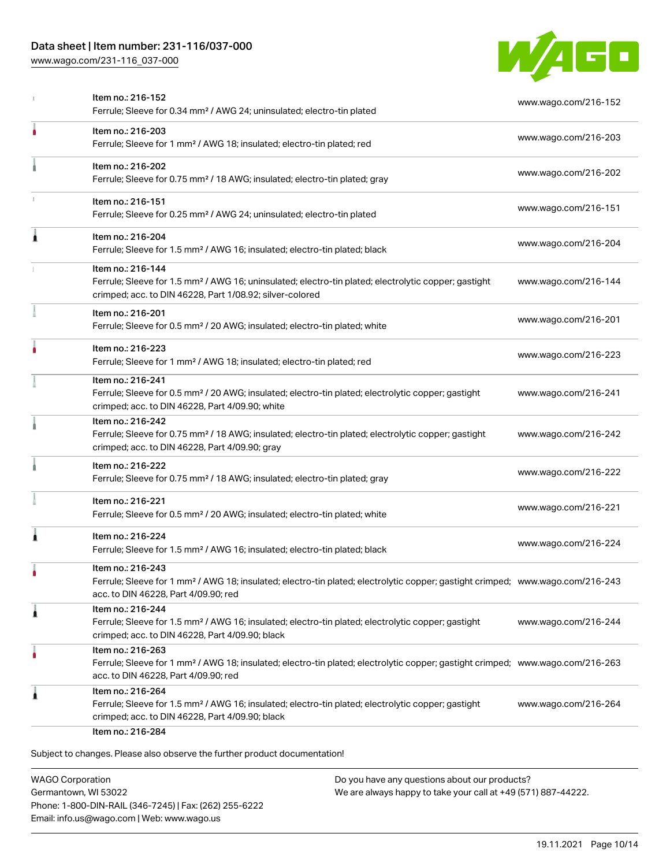[www.wago.com/231-116\\_037-000](http://www.wago.com/231-116_037-000)



|   | Item no.: 216-152<br>Ferrule; Sleeve for 0.34 mm <sup>2</sup> / AWG 24; uninsulated; electro-tin plated                                                                                                 | www.wago.com/216-152 |
|---|---------------------------------------------------------------------------------------------------------------------------------------------------------------------------------------------------------|----------------------|
| ۸ | Item no.: 216-203<br>Ferrule; Sleeve for 1 mm <sup>2</sup> / AWG 18; insulated; electro-tin plated; red                                                                                                 | www.wago.com/216-203 |
|   | Item no.: 216-202<br>Ferrule; Sleeve for 0.75 mm <sup>2</sup> / 18 AWG; insulated; electro-tin plated; gray                                                                                             | www.wago.com/216-202 |
|   | Item no.: 216-151<br>Ferrule; Sleeve for 0.25 mm <sup>2</sup> / AWG 24; uninsulated; electro-tin plated                                                                                                 | www.wago.com/216-151 |
| 1 | Item no.: 216-204<br>Ferrule; Sleeve for 1.5 mm <sup>2</sup> / AWG 16; insulated; electro-tin plated; black                                                                                             | www.wago.com/216-204 |
|   | Item no.: 216-144<br>Ferrule; Sleeve for 1.5 mm <sup>2</sup> / AWG 16; uninsulated; electro-tin plated; electrolytic copper; gastight<br>crimped; acc. to DIN 46228, Part 1/08.92; silver-colored       | www.wago.com/216-144 |
|   | Item no.: 216-201<br>Ferrule; Sleeve for 0.5 mm <sup>2</sup> / 20 AWG; insulated; electro-tin plated; white                                                                                             | www.wago.com/216-201 |
|   | Item no.: 216-223<br>Ferrule; Sleeve for 1 mm <sup>2</sup> / AWG 18; insulated; electro-tin plated; red                                                                                                 | www.wago.com/216-223 |
|   | Item no.: 216-241<br>Ferrule; Sleeve for 0.5 mm <sup>2</sup> / 20 AWG; insulated; electro-tin plated; electrolytic copper; gastight<br>crimped; acc. to DIN 46228, Part 4/09.90; white                  | www.wago.com/216-241 |
|   | Item no.: 216-242<br>Ferrule; Sleeve for 0.75 mm <sup>2</sup> / 18 AWG; insulated; electro-tin plated; electrolytic copper; gastight<br>crimped; acc. to DIN 46228, Part 4/09.90; gray                  | www.wago.com/216-242 |
|   | Item no.: 216-222<br>Ferrule; Sleeve for 0.75 mm <sup>2</sup> / 18 AWG; insulated; electro-tin plated; gray                                                                                             | www.wago.com/216-222 |
|   | Item no.: 216-221<br>Ferrule; Sleeve for 0.5 mm <sup>2</sup> / 20 AWG; insulated; electro-tin plated; white                                                                                             | www.wago.com/216-221 |
| ۸ | Item no.: 216-224<br>Ferrule; Sleeve for 1.5 mm <sup>2</sup> / AWG 16; insulated; electro-tin plated; black                                                                                             | www.wago.com/216-224 |
|   | Item no.: 216-243<br>Ferrule; Sleeve for 1 mm <sup>2</sup> / AWG 18; insulated; electro-tin plated; electrolytic copper; gastight crimped; www.wago.com/216-243<br>acc. to DIN 46228, Part 4/09.90; red |                      |
| 1 | Item no.: 216-244<br>Ferrule; Sleeve for 1.5 mm <sup>2</sup> / AWG 16; insulated; electro-tin plated; electrolytic copper; gastight<br>crimped; acc. to DIN 46228, Part 4/09.90; black                  | www.wago.com/216-244 |
| ۸ | Item no.: 216-263<br>Ferrule; Sleeve for 1 mm <sup>2</sup> / AWG 18; insulated; electro-tin plated; electrolytic copper; gastight crimped; www.wago.com/216-263<br>acc. to DIN 46228, Part 4/09.90; red |                      |
| 1 | Item no.: 216-264<br>Ferrule; Sleeve for 1.5 mm <sup>2</sup> / AWG 16; insulated; electro-tin plated; electrolytic copper; gastight<br>crimped; acc. to DIN 46228, Part 4/09.90; black                  | www.wago.com/216-264 |

WAGO Corporation Germantown, WI 53022 Phone: 1-800-DIN-RAIL (346-7245) | Fax: (262) 255-6222 Email: info.us@wago.com | Web: www.wago.us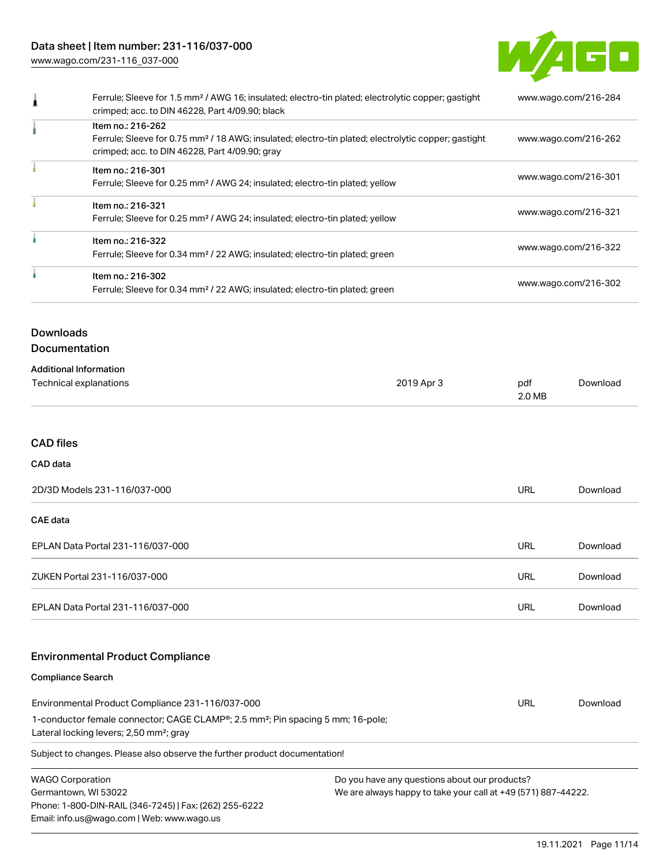[www.wago.com/231-116\\_037-000](http://www.wago.com/231-116_037-000)



| Ferrule; Sleeve for 1.5 mm <sup>2</sup> / AWG 16; insulated; electro-tin plated; electrolytic copper; gastight<br>crimped; acc. to DIN 46228, Part 4/09.90; black | www.wago.com/216-284 |
|-------------------------------------------------------------------------------------------------------------------------------------------------------------------|----------------------|
| Item no.: 216-262<br>Ferrule; Sleeve for 0.75 mm <sup>2</sup> / 18 AWG; insulated; electro-tin plated; electrolytic copper; gastight                              |                      |
| crimped; acc. to DIN 46228, Part 4/09.90; gray                                                                                                                    | www.wago.com/216-262 |
| Item no.: 216-301                                                                                                                                                 |                      |
| Ferrule; Sleeve for 0.25 mm <sup>2</sup> / AWG 24; insulated; electro-tin plated; yellow                                                                          | www.wago.com/216-301 |
| Item no.: 216-321                                                                                                                                                 | www.wago.com/216-321 |
| Ferrule; Sleeve for 0.25 mm <sup>2</sup> / AWG 24; insulated; electro-tin plated; yellow                                                                          |                      |
| Item no.: 216-322                                                                                                                                                 |                      |
| Ferrule; Sleeve for 0.34 mm <sup>2</sup> / 22 AWG; insulated; electro-tin plated; green                                                                           | www.wago.com/216-322 |
| Item no.: 216-302                                                                                                                                                 |                      |
| Ferrule; Sleeve for 0.34 mm <sup>2</sup> / 22 AWG; insulated; electro-tin plated; green                                                                           | www.wago.com/216-302 |
|                                                                                                                                                                   |                      |

# **Downloads**

## Documentation

| <b>Additional Information</b> |            |        |          |
|-------------------------------|------------|--------|----------|
| Technical explanations        | 2019 Apr 3 | pdf    | Download |
|                               |            | 2.0 MB |          |

#### CAD files

#### CAD data

| 2D/3D Models 231-116/037-000      | URL | Download |
|-----------------------------------|-----|----------|
| <b>CAE data</b>                   |     |          |
| EPLAN Data Portal 231-116/037-000 | URL | Download |
| ZUKEN Portal 231-116/037-000      | URL | Download |
| EPLAN Data Portal 231-116/037-000 | URL | Download |

## Environmental Product Compliance

#### Compliance Search

| Environmental Product Compliance 231-116/037-000                                                         | URL | Download |
|----------------------------------------------------------------------------------------------------------|-----|----------|
| 1-conductor female connector; CAGE CLAMP <sup>®</sup> ; 2.5 mm <sup>2</sup> ; Pin spacing 5 mm; 16-pole; |     |          |
| Lateral locking levers; 2,50 mm <sup>2</sup> ; gray                                                      |     |          |
|                                                                                                          |     |          |

Subject to changes. Please also observe the further product documentation!

WAGO Corporation Germantown, WI 53022 Phone: 1-800-DIN-RAIL (346-7245) | Fax: (262) 255-6222 Email: info.us@wago.com | Web: www.wago.us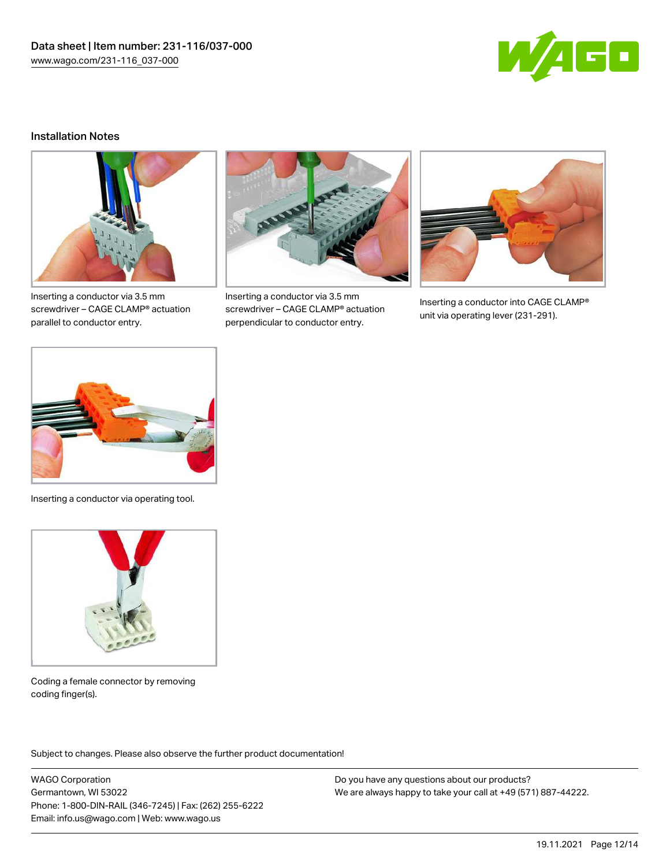

#### Installation Notes



Inserting a conductor via 3.5 mm screwdriver – CAGE CLAMP® actuation parallel to conductor entry.



Inserting a conductor via 3.5 mm screwdriver – CAGE CLAMP® actuation perpendicular to conductor entry.



Inserting a conductor into CAGE CLAMP® unit via operating lever (231-291).



Inserting a conductor via operating tool.



Coding a female connector by removing coding finger(s).

Subject to changes. Please also observe the further product documentation!

WAGO Corporation Germantown, WI 53022 Phone: 1-800-DIN-RAIL (346-7245) | Fax: (262) 255-6222 Email: info.us@wago.com | Web: www.wago.us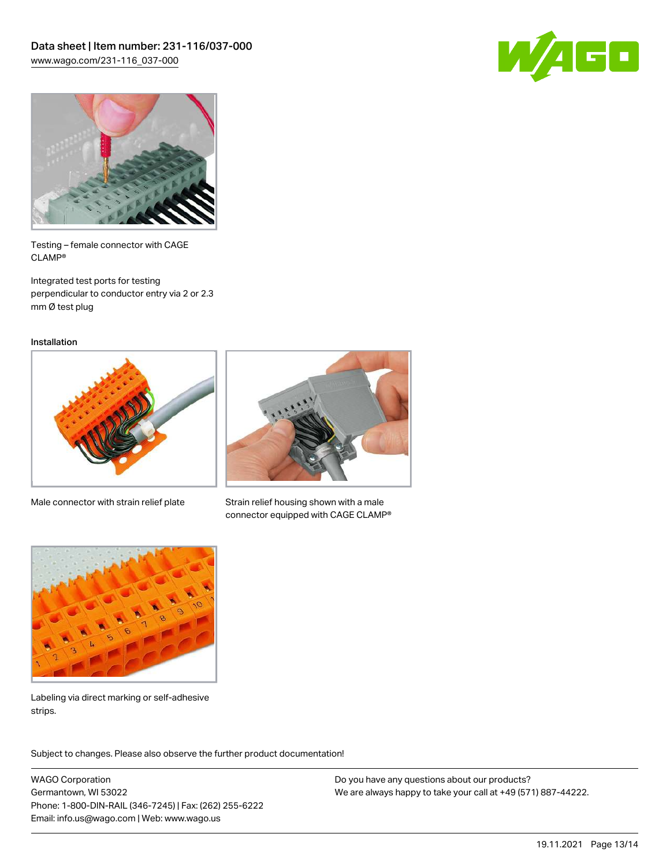



Testing – female connector with CAGE CLAMP®

Integrated test ports for testing perpendicular to conductor entry via 2 or 2.3 mm Ø test plug

Installation



Male connector with strain relief plate



Strain relief housing shown with a male connector equipped with CAGE CLAMP®



Labeling via direct marking or self-adhesive strips.

Subject to changes. Please also observe the further product documentation! Product family

WAGO Corporation Germantown, WI 53022 Phone: 1-800-DIN-RAIL (346-7245) | Fax: (262) 255-6222 Email: info.us@wago.com | Web: www.wago.us